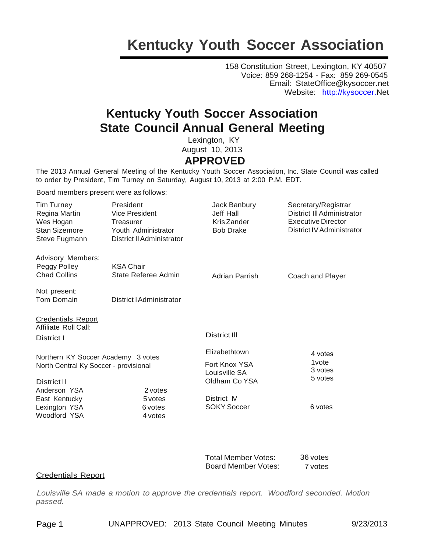### **Kentucky Youth Soccer Association**

158 Constitution Street, Lexington, KY 40507 Voice: 859 268-1254 - Fax: 859 269-0545 Email: StateOffice@kysoccer.net Website: [http://kysoccer.N](http://kysoccer./)et

### **Kentucky Youth Soccer Association State Council Annual General Meeting**

Lexington, KY August 10, 2013  **APPROVED**

The 2013 Annual General Meeting of the Kentucky Youth Soccer Association, Inc. State Council was called to order by President, Tim Turney on Saturday, August 10, 2013 at 2:00 P.M. EDT.

Board members present were as follows:

| <b>Tim Turney</b><br>Regina Martin<br>Wes Hogan                             | President<br><b>Vice President</b><br>Treasurer         | Jack Banbury<br>Jeff Hall<br>Kris Zander | Secretary/Registrar<br>District III Administrator<br><b>Executive Director</b> |
|-----------------------------------------------------------------------------|---------------------------------------------------------|------------------------------------------|--------------------------------------------------------------------------------|
| Stan Sizemore<br>Steve Fugmann                                              | Youth Administrator<br><b>District II Administrator</b> | <b>Bob Drake</b>                         | District IV Administrator                                                      |
| <b>Advisory Members:</b>                                                    |                                                         |                                          |                                                                                |
| Peggy Polley<br><b>Chad Collins</b>                                         | <b>KSA Chair</b><br>State Referee Admin                 | <b>Adrian Parrish</b>                    | Coach and Player                                                               |
| Not present:                                                                |                                                         |                                          |                                                                                |
| Tom Domain                                                                  | District I Administrator                                |                                          |                                                                                |
| <b>Credentials Report</b>                                                   |                                                         |                                          |                                                                                |
| Affiliate Roll Call:                                                        |                                                         |                                          |                                                                                |
| District I                                                                  |                                                         | <b>District III</b>                      |                                                                                |
| Northern KY Soccer Academy 3 votes<br>North Central Ky Soccer - provisional |                                                         | Elizabethtown                            | 4 votes                                                                        |
|                                                                             |                                                         | Fort Knox YSA<br>Louisville SA           | 1 <sub>vote</sub><br>3 votes                                                   |
| <b>District II</b>                                                          |                                                         | Oldham Co YSA                            | 5 votes                                                                        |
| Anderson YSA                                                                | 2 votes                                                 |                                          |                                                                                |
| East Kentucky                                                               | 5 votes                                                 | District M                               |                                                                                |
| Lexington YSA                                                               | 6 votes                                                 | <b>SOKY Soccer</b>                       | 6 votes                                                                        |
| Woodford YSA                                                                | 4 votes                                                 |                                          |                                                                                |
|                                                                             |                                                         |                                          |                                                                                |

| Total Member Votes: | 36 votes |
|---------------------|----------|
| Board Member Votes: | 7 votes  |

### **Credentials Report**

*Louisville SA made a motion to approve the credentials report. Woodford seconded. Motion passed.*

Page 1 UNAPPROVED: 2013 State Council Meeting Minutes 9/23/2013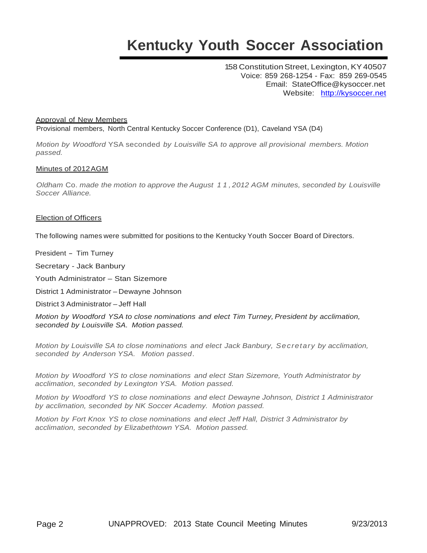# **Kentucky Youth Soccer Association**

158 Constitution Street, Lexington, KY40507 Voice: 859 268-1254 - Fax: 859 269-0545 Email: StateOffice@kysoccer.net Website: [http://kysoccer.net](http://kysoccer.net/)

### Approval of New Members

Provisional members, North Central Kentucky Soccer Conference (D1), Caveland YSA (D4)

*Motion by Woodford* YSA seconded *by Louisville SA to approve all provisional members. Motion passed.*

### Minutes of 2012AGM

*Oldham* Co. *made the motion to approve the August 1 1 , 2012 AGM minutes, seconded by Louisville Soccer Alliance.*

### Election of Officers

The following names were submitted for positions to the Kentucky Youth Soccer Board of Directors.

President - Tim Turney

Secretary - Jack Banbury

Youth Administrator – Stan Sizemore

District 1 Administrator – Dewayne Johnson

District 3 Administrator – Jeff Hall

*Motion by Woodford YSA to close nominations and elect Tim Turney, President by acclimation, seconded by Louisville SA. Motion passed.*

*Motion by Louisville SA to close nominations and elect Jack Banbury, Secretary by acclimation, seconded by Anderson YSA. Motion passed.*

*Motion by Woodford YS to close nominations and elect Stan Sizemore, Youth Administrator by acclimation, seconded by Lexington YSA. Motion passed.*

*Motion by Woodford YS to close nominations and elect Dewayne Johnson, District 1 Administrator by acclimation, seconded by NK Soccer Academy. Motion passed.*

*Motion by Fort Knox YS to close nominations and elect Jeff Hall, District 3 Administrator by acclimation, seconded by Elizabethtown YSA. Motion passed.*